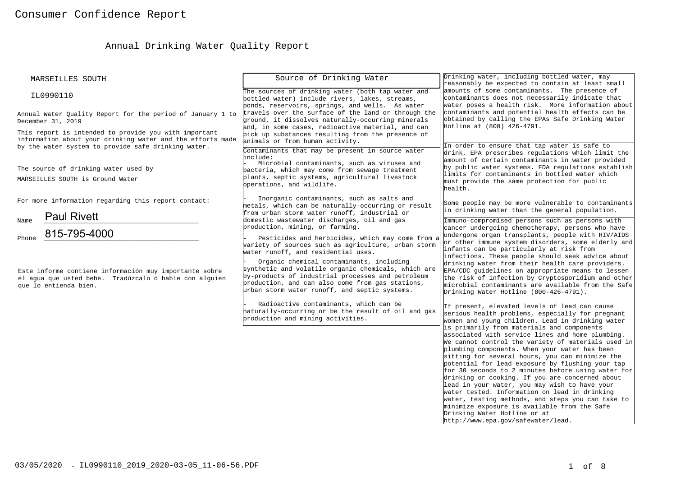# Annual Drinking Water Quality Report

| MARSEILLES SOUTH                                                                                                                                                           | Source of Drinking Water                                                                                                                                                                                                                                  | Drinking water, including bottled water, may<br>reasonably be expected to contain at least small                                                                                                                                                                                                                                                                                                                                                                                                                                                                                                                                                                                                   |
|----------------------------------------------------------------------------------------------------------------------------------------------------------------------------|-----------------------------------------------------------------------------------------------------------------------------------------------------------------------------------------------------------------------------------------------------------|----------------------------------------------------------------------------------------------------------------------------------------------------------------------------------------------------------------------------------------------------------------------------------------------------------------------------------------------------------------------------------------------------------------------------------------------------------------------------------------------------------------------------------------------------------------------------------------------------------------------------------------------------------------------------------------------------|
| IL0990110                                                                                                                                                                  | The sources of drinking water (both tap water and<br>bottled water) include rivers, lakes, streams,<br>ponds, reservoirs, springs, and wells. As water                                                                                                    | amounts of some contaminants. The presence of<br>contaminants does not necessarily indicate that<br>water poses a health risk. More information about                                                                                                                                                                                                                                                                                                                                                                                                                                                                                                                                              |
| Annual Water Ouality Report for the period of January 1 to<br>December 31, 2019                                                                                            | travels over the surface of the land or through the<br>ground, it dissolves naturally-occurring minerals<br>and, in some cases, radioactive material, and can                                                                                             | contaminants and potential health effects can be<br>obtained by calling the EPAs Safe Drinking Water<br>Hotline at (800) 426-4791.                                                                                                                                                                                                                                                                                                                                                                                                                                                                                                                                                                 |
| This report is intended to provide you with important<br>information about your drinking water and the efforts made<br>by the water system to provide safe drinking water. | pick up substances resulting from the presence of<br>animals or from human activity.<br>Contaminants that may be present in source water                                                                                                                  | In order to ensure that tap water is safe to                                                                                                                                                                                                                                                                                                                                                                                                                                                                                                                                                                                                                                                       |
| The source of drinking water used by<br>MARSEILLES SOUTH is Ground Water                                                                                                   | linclude:<br>Microbial contaminants, such as viruses and<br>bacteria, which may come from sewage treatment<br>plants, septic systems, agricultural livestock<br>operations, and wildlife.                                                                 | drink, EPA prescribes regulations which limit the<br>amount of certain contaminants in water provided<br>by public water systems. FDA regulations establish<br>limits for contaminants in bottled water which<br>must provide the same protection for public<br>health.                                                                                                                                                                                                                                                                                                                                                                                                                            |
| For more information regarding this report contact:<br><b>Paul Rivett</b>                                                                                                  | Inorganic contaminants, such as salts and<br>metals, which can be naturally-occurring or result<br>from urban storm water runoff, industrial or                                                                                                           | Some people may be more vulnerable to contaminants<br>in drinking water than the general population.                                                                                                                                                                                                                                                                                                                                                                                                                                                                                                                                                                                               |
| Name<br>815-795-4000<br>Phone                                                                                                                                              | domestic wastewater discharges, oil and gas<br>production, mining, or farming.<br>Pesticides and herbicides, which may come from a<br>variety of sources such as agriculture, urban storm<br>water runoff, and residential uses.                          | Immuno-compromised persons such as persons with<br>cancer undergoing chemotherapy, persons who have<br>undergone organ transplants, people with HIV/AIDS<br>or other immune system disorders, some elderly and<br>infants can be particularly at risk from                                                                                                                                                                                                                                                                                                                                                                                                                                         |
| Este informe contiene información muy importante sobre<br>el aqua que usted bebe. Tradúzcalo ó hable con alquien<br>que lo entienda bien.                                  | Organic chemical contaminants, including<br>synthetic and volatile organic chemicals, which are<br>by-products of industrial processes and petroleum<br>production, and can also come from gas stations,<br>urban storm water runoff, and septic systems. | infections. These people should seek advice about<br>drinking water from their health care providers.<br>EPA/CDC guidelines on appropriate means to lessen<br>the risk of infection by Cryptosporidium and other<br>microbial contaminants are available from the Safe<br>Drinking Water Hotline (800-426-4791).                                                                                                                                                                                                                                                                                                                                                                                   |
|                                                                                                                                                                            | Radioactive contaminants, which can be<br>haturally-occurring or be the result of oil and gas<br>production and mining activities.                                                                                                                        | If present, elevated levels of lead can cause<br>serious health problems, especially for pregnant<br>women and young children. Lead in drinking water                                                                                                                                                                                                                                                                                                                                                                                                                                                                                                                                              |
|                                                                                                                                                                            |                                                                                                                                                                                                                                                           | is primarily from materials and components<br>associated with service lines and home plumbing.<br>We cannot control the variety of materials used in<br>plumbing components. When your water has been<br>sitting for several hours, you can minimize the<br>potential for lead exposure by flushing your tap<br>for 30 seconds to 2 minutes before using water for<br>drinking or cooking. If you are concerned about<br>lead in your water, you may wish to have your<br>water tested. Information on lead in drinking<br>water, testing methods, and steps you can take to<br>minimize exposure is available from the Safe<br>Drinking Water Hotline or at<br>http://www.epa.gov/safewater/lead. |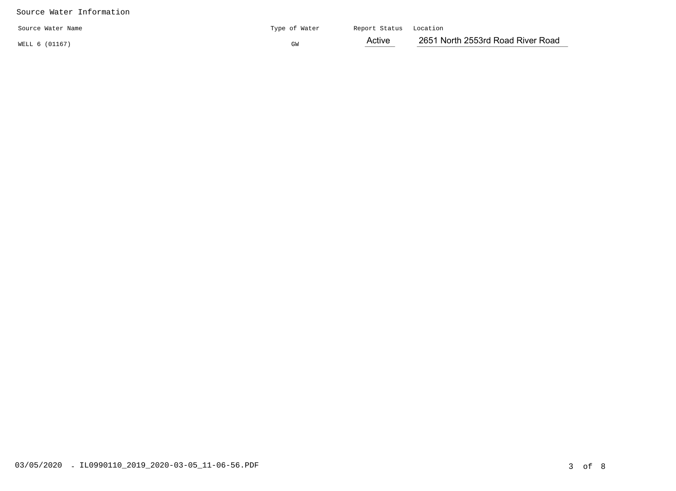## Source Water Information

| Source Water Name | Type of Water | Report Status Location |                                   |
|-------------------|---------------|------------------------|-----------------------------------|
| WELL 6 (01167)    | GW            | Active                 | 2651 North 2553rd Road River Road |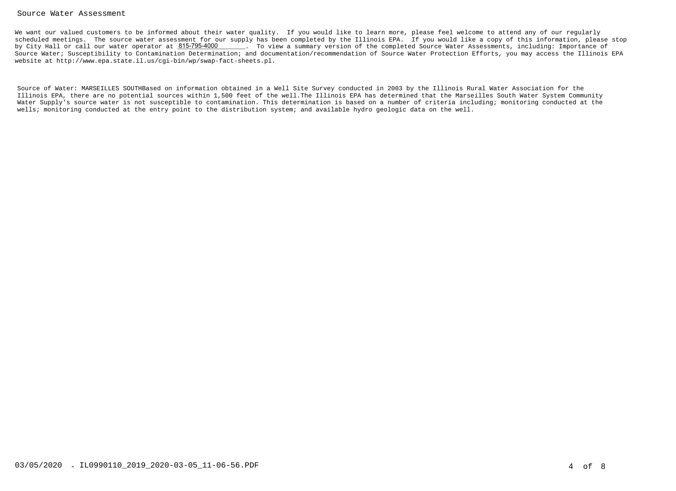### Source Water Assessment

We want our valued customers to be informed about their water quality. If you would like to learn more, please feel welcome to attend any of our regularly scheduled meetings. The source water assessment for our supply has been completed by the Illinois EPA. If you would like a copy of this information, please stopby City Hall or call our water operator at  $815$ -795-4000  $\qquad \qquad$  . To view a summary version of the completed Source Water Assessments, including: Importance of Source Water; Susceptibility to Contamination Determination; and documentation/recommendation of Source Water Protection Efforts, you may access the Illinois EPAwebsite at http://www.epa.state.il.us/cgi-bin/wp/swap-fact-sheets.pl.

Source of Water: MARSEILLES SOUTHBased on information obtained in a Well Site Survey conducted in 2003 by the Illinois Rural Water Association for the Illinois EPA, there are no potential sources within 1,500 feet of the well.The Illinois EPA has determined that the Marseilles South Water System Community Water Supply's source water is not susceptible to contamination. This determination is based on a number of criteria including; monitoring conducted at thewells; monitoring conducted at the entry point to the distribution system; and available hydro geologic data on the well.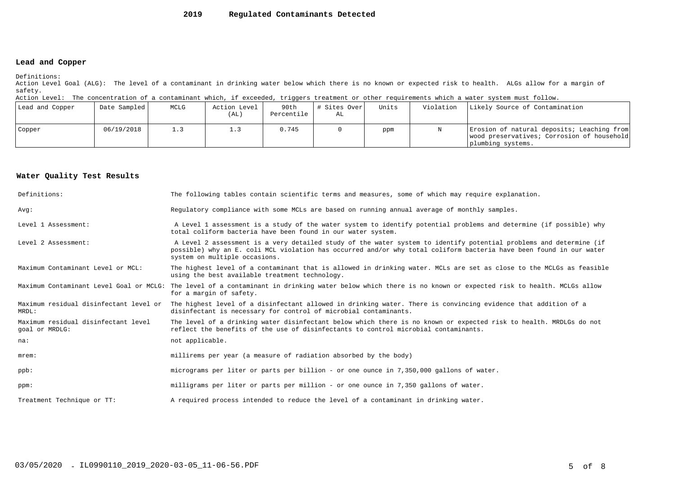#### **2019Regulated Contaminants Detected**

### **Lead and Copper**

Definitions:

 Action Level Goal (ALG): The level of a contaminant in drinking water below which there is no known or expected risk to health. ALGs allow for a margin ofsafety.

Action Level: The concentration of a contaminant which, if exceeded, triggers treatment or other requirements which a water system must follow.

| Lead and Copper | Date Sampled | MCLG | Action Level<br>(AL) | 90th<br>Percentile | # Sites Over<br>AL | Units | Violation | Likely Source of Contamination                                                                                |
|-----------------|--------------|------|----------------------|--------------------|--------------------|-------|-----------|---------------------------------------------------------------------------------------------------------------|
| Copper          | 06/19/2018   | 1.3  |                      | 0.745              |                    | ppm   |           | Erosion of natural deposits; Leaching from<br>wood preservatives; Corrosion of household<br>plumbing systems. |

### **Water Quality Test Results**

| Definitions:                                          | The following tables contain scientific terms and measures, some of which may require explanation.                                                                                                                                                                         |
|-------------------------------------------------------|----------------------------------------------------------------------------------------------------------------------------------------------------------------------------------------------------------------------------------------------------------------------------|
| Avq:                                                  | Requiatory compliance with some MCLs are based on running annual average of monthly samples.                                                                                                                                                                               |
| Level 1 Assessment:                                   | A Level 1 assessment is a study of the water system to identify potential problems and determine (if possible) why<br>total coliform bacteria have been found in our water system.                                                                                         |
| Level 2 Assessment:                                   | A Level 2 assessment is a very detailed study of the water system to identify potential problems and determine (if<br>possible) why an E. coli MCL violation has occurred and/or why total coliform bacteria have been found in our water<br>system on multiple occasions. |
| Maximum Contaminant Level or MCL:                     | The highest level of a contaminant that is allowed in drinking water. MCLs are set as close to the MCLGs as feasible<br>using the best available treatment technology.                                                                                                     |
|                                                       | Maximum Contaminant Level Goal or MCLG: The level of a contaminant in drinking water below which there is no known or expected risk to health. MCLGs allow<br>for a margin of safety.                                                                                      |
| Maximum residual disinfectant level or<br>MRDL:       | The highest level of a disinfectant allowed in drinking water. There is convincing evidence that addition of a<br>disinfectant is necessary for control of microbial contaminants.                                                                                         |
| Maximum residual disinfectant level<br>goal or MRDLG: | The level of a drinking water disinfectant below which there is no known or expected risk to health. MRDLGs do not<br>reflect the benefits of the use of disinfectants to control microbial contaminants.                                                                  |
| na:                                                   | not applicable.                                                                                                                                                                                                                                                            |
| $m$ rem:                                              | millirems per year (a measure of radiation absorbed by the body)                                                                                                                                                                                                           |
| $ppb$ :                                               | micrograms per liter or parts per billion - or one ounce in 7,350,000 gallons of water.                                                                                                                                                                                    |
| ppm:                                                  | milligrams per liter or parts per million - or one ounce in 7,350 gallons of water.                                                                                                                                                                                        |
| Treatment Technique or TT:                            | A required process intended to reduce the level of a contaminant in drinking water.                                                                                                                                                                                        |